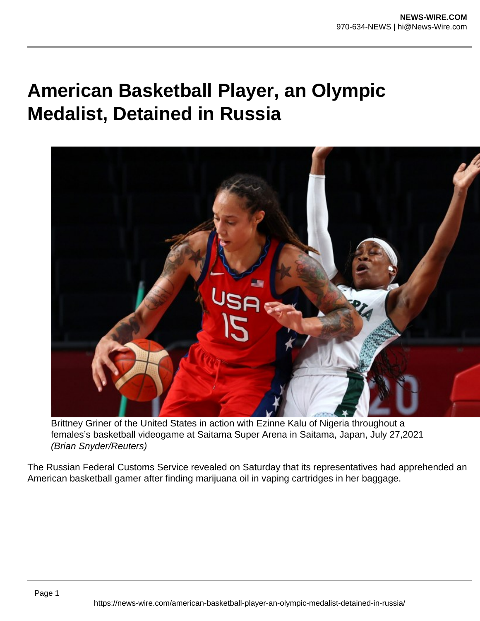## **American Basketball Player, an Olympic Medalist, Detained in Russia**



Brittney Griner of the United States in action with Ezinne Kalu of Nigeria throughout a females's basketball videogame at Saitama Super Arena in Saitama, Japan, July 27,2021 (Brian Snyder/Reuters)

The Russian Federal Customs Service revealed on Saturday that its representatives had apprehended an American basketball gamer after finding marijuana oil in vaping cartridges in her baggage.